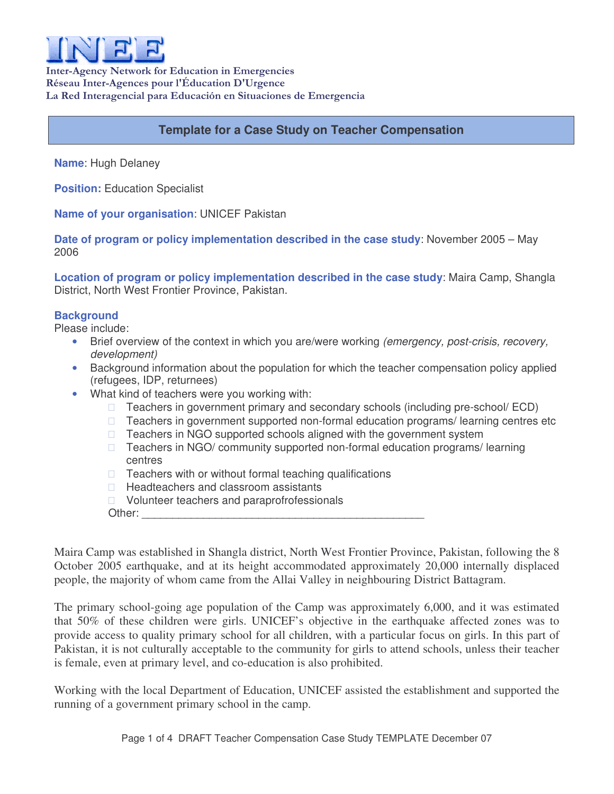

Inter-Agency Network for Education in Emergencies Réseau Inter-Agences pour l'Éducation D'Urgence La Red Interagencial para Educación en Situaciones de Emergencia

# **Template for a Case Study on Teacher Compensation**

**Name**: Hugh Delaney

**Position:** Education Specialist

**Name of your organisation**: UNICEF Pakistan

**Date of program or policy implementation described in the case study**: November 2005 – May 2006

**Location of program or policy implementation described in the case study**: Maira Camp, Shangla District, North West Frontier Province, Pakistan.

#### **Background**

Please include:

- Brief overview of the context in which you are/were working *(emergency, post-crisis, recovery, development)*
- Background information about the population for which the teacher compensation policy applied (refugees, IDP, returnees)
- What kind of teachers were you working with:

 Teachers in government primary and secondary schools (including pre-school/ ECD) Teachers in government supported non-formal education programs/ learning centres etc Teachers in NGO supported schools aligned with the government system Teachers in NGO/ community supported non-formal education programs/ learning centres Teachers with or without formal teaching qualifications Headteachers and classroom assistants Volunteer teachers and paraprofrofessionals

Other:

Maira Camp was established in Shangla district, North West Frontier Province, Pakistan, following the 8 October 2005 earthquake, and at its height accommodated approximately 20,000 internally displaced people, the majority of whom came from the Allai Valley in neighbouring District Battagram.

The primary school-going age population of the Camp was approximately 6,000, and it was estimated that 50% of these children were girls. UNICEF's objective in the earthquake affected zones was to provide access to quality primary school for all children, with a particular focus on girls. In this part of Pakistan, it is not culturally acceptable to the community for girls to attend schools, unless their teacher is female, even at primary level, and co-education is also prohibited.

Working with the local Department of Education, UNICEF assisted the establishment and supported the running of a government primary school in the camp.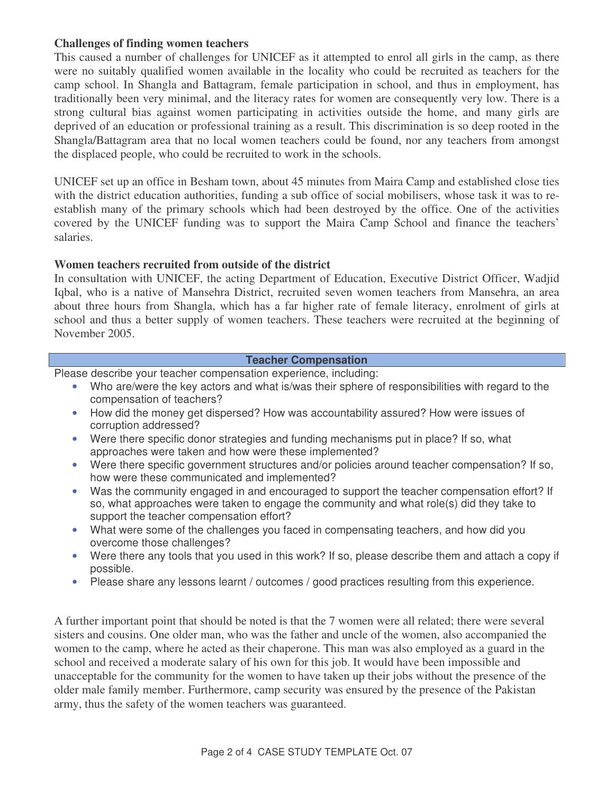## **Challenges of finding women teachers**

This caused a number of challenges for UNICEF as it attempted to enrol all girls in the camp, as there were no suitably qualified women available in the locality who could be recruited as teachers for the camp school. In Shangla and Battagram, female participation in school, and thus in employment, has traditionally been very minimal, and the literacy rates for women are consequently very low. There is a strong cultural bias against women participating in activities outside the home, and many girls are deprived of an education or professional training as a result. This discrimination is so deep rooted in the Shangla/Battagram area that no local women teachers could be found, nor any teachers from amongst the displaced people, who could be recruited to work in the schools.

UNICEF set up an office in Besham town, about 45 minutes from Maira Camp and established close ties with the district education authorities, funding a sub office of social mobilisers, whose task it was to reestablish many of the primary schools which had been destroyed by the office. One of the activities covered by the UNICEF funding was to support the Maira Camp School and finance the teachers' salaries.

## **Women teachers recruited from outside of the district**

In consultation with UNICEF, the acting Department of Education, Executive District Officer, Wadjid Iqbal, who is a native of Mansehra District, recruited seven women teachers from Mansehra, an area about three hours from Shangla, which has a far higher rate of female literacy, enrolment of girls at school and thus a better supply of women teachers. These teachers were recruited at the beginning of November 2005.

#### **Teacher Compensation**

Please describe your teacher compensation experience, including:

- Who are/were the key actors and what is/was their sphere of responsibilities with regard to the compensation of teachers?
- How did the money get dispersed? How was accountability assured? How were issues of corruption addressed?
- Were there specific donor strategies and funding mechanisms put in place? If so, what approaches were taken and how were these implemented?
- Were there specific government structures and/or policies around teacher compensation? If so, how were these communicated and implemented?
- Was the community engaged in and encouraged to support the teacher compensation effort? If so, what approaches were taken to engage the community and what role(s) did they take to support the teacher compensation effort?
- What were some of the challenges you faced in compensating teachers, and how did you overcome those challenges?
- Were there any tools that you used in this work? If so, please describe them and attach a copy if possible.
- Please share any lessons learnt / outcomes / good practices resulting from this experience.

A further important point that should be noted is that the 7 women were all related; there were several sisters and cousins. One older man, who was the father and uncle of the women, also accompanied the women to the camp, where he acted as their chaperone. This man was also employed as a guard in the school and received a moderate salary of his own for this job. It would have been impossible and unacceptable for the community for the women to have taken up their jobs without the presence of the older male family member. Furthermore, camp security was ensured by the presence of the Pakistan army, thus the safety of the women teachers was guaranteed.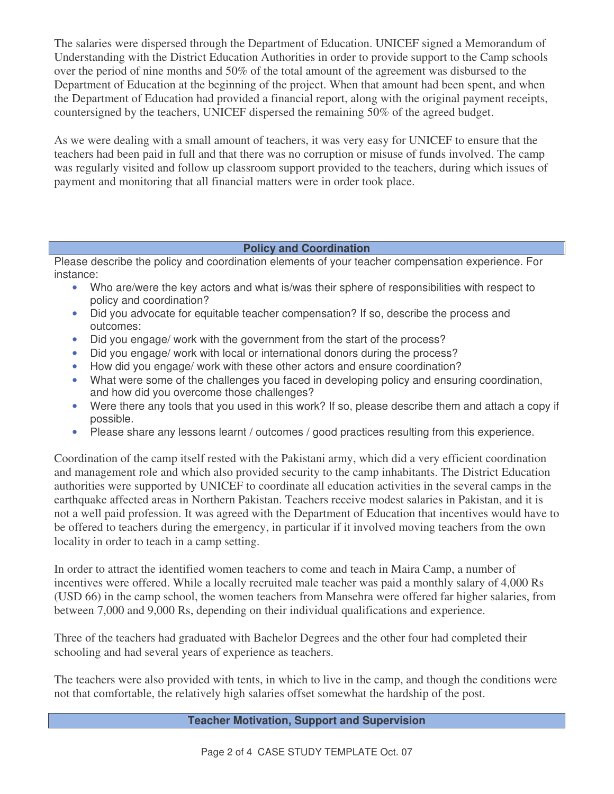The salaries were dispersed through the Department of Education. UNICEF signed a Memorandum of Understanding with the District Education Authorities in order to provide support to the Camp schools over the period of nine months and 50% of the total amount of the agreement was disbursed to the Department of Education at the beginning of the project. When that amount had been spent, and when the Department of Education had provided a financial report, along with the original payment receipts, countersigned by the teachers, UNICEF dispersed the remaining 50% of the agreed budget.

As we were dealing with a small amount of teachers, it was very easy for UNICEF to ensure that the teachers had been paid in full and that there was no corruption or misuse of funds involved. The camp was regularly visited and follow up classroom support provided to the teachers, during which issues of payment and monitoring that all financial matters were in order took place.

## **Policy and Coordination**

Please describe the policy and coordination elements of your teacher compensation experience. For instance:

- Who are/were the key actors and what is/was their sphere of responsibilities with respect to policy and coordination?
- Did you advocate for equitable teacher compensation? If so, describe the process and outcomes:
- Did you engage/ work with the government from the start of the process?
- Did you engage/ work with local or international donors during the process?
- How did you engage/ work with these other actors and ensure coordination?
- What were some of the challenges you faced in developing policy and ensuring coordination, and how did you overcome those challenges?
- Were there any tools that you used in this work? If so, please describe them and attach a copy if possible.
- Please share any lessons learnt / outcomes / good practices resulting from this experience.

Coordination of the camp itself rested with the Pakistani army, which did a very efficient coordination and management role and which also provided security to the camp inhabitants. The District Education authorities were supported by UNICEF to coordinate all education activities in the several camps in the earthquake affected areas in Northern Pakistan. Teachers receive modest salaries in Pakistan, and it is not a well paid profession. It was agreed with the Department of Education that incentives would have to be offered to teachers during the emergency, in particular if it involved moving teachers from the own locality in order to teach in a camp setting.

In order to attract the identified women teachers to come and teach in Maira Camp, a number of incentives were offered. While a locally recruited male teacher was paid a monthly salary of 4,000 Rs (USD 66) in the camp school, the women teachers from Mansehra were offered far higher salaries, from between 7,000 and 9,000 Rs, depending on their individual qualifications and experience.

Three of the teachers had graduated with Bachelor Degrees and the other four had completed their schooling and had several years of experience as teachers.

The teachers were also provided with tents, in which to live in the camp, and though the conditions were not that comfortable, the relatively high salaries offset somewhat the hardship of the post.

**Teacher Motivation, Support and Supervision**